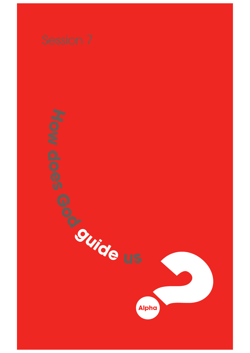



**Alpha**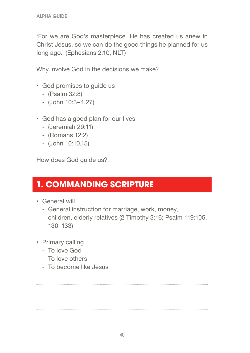'For we are God's masterpiece. He has created us anew in Christ Jesus, so we can do the good things he planned for us long ago.' (Ephesians 2:10, NLT)

Why involve God in the decisions we make?

- God promises to guide us
	- (Psalm 32:8)
	- (John 10:3–4,27)
- God has a good plan for our lives
	- (Jeremiah 29:11)
	- (Romans 12:2)
	- (John 10:10,15)

How does God guide us?

### **1. COMMANDING SCRIPTURE**

- General will
	- General instruction for marriage, work, money, children, elderly relatives (2 Timothy 3:16; Psalm 119:105, 130–133)
- Primary calling
	- To love God
	- To love others
	- To become like Jesus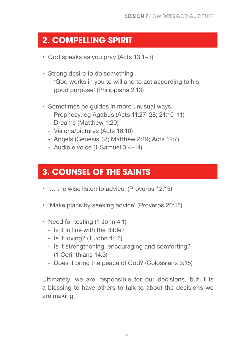### **2. COMPELLING SPIRIT**

- God speaks as you pray (Acts 13:1–3)
- Strong desire to do something
	- 'God works in you to will and to act according to his good purpose' (Philippians 2:13)
- Sometimes he guides in more unusual ways
	- Prophecy, eg Agabus (Acts 11:27–28; 21:10–11)
	- Dreams (Matthew 1:20)
	- Visions/pictures (Acts 16:10)
	- Angels (Genesis 18; Matthew 2:19; Acts 12:7)
	- Audible voice (1 Samuel 3:4–14)

# **3. COUNSEL OF THE SAINTS**

- '… the wise listen to advice' (Proverbs 12:15)
- 'Make plans by seeking advice' (Proverbs 20:18)
- Need for testing (1 John 4:1)
	- Is it in line with the Bible?
	- Is it loving? (1 John 4:16)
	- Is it strengthening, encouraging and comforting? (1 Corinthians 14:3)
	- Does it bring the peace of God? (Colossians 3:15)

Ultimately, we are responsible for our decisions, but it is a blessing to have others to talk to about the decisions we are making.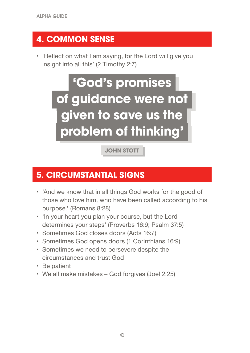## **4. COMMON SENSE**

• 'Reflect on what I am saying, for the Lord will give you insight into all this' (2 Timothy 2:7)

# **'God's promises of guidance were not given to save us the problem of thinking'**

**JOHN STOTT**

### **5. CIRCUMSTANTIAL SIGNS**

- 'And we know that in all things God works for the good of those who love him, who have been called according to his purpose.' (Romans 8:28)
- 'In your heart you plan your course, but the Lord determines your steps' (Proverbs 16:9; Psalm 37:5)
- Sometimes God closes doors (Acts 16:7)
- Sometimes God opens doors (1 Corinthians 16:9)
- Sometimes we need to persevere despite the circumstances and trust God
- Be patient
- We all make mistakes God forgives (Joel 2:25)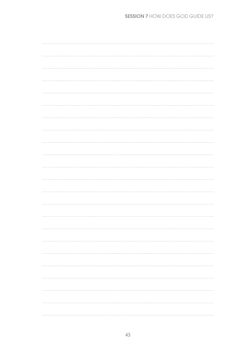#### SESSION 7 HOW DOES GOD GUIDE US?